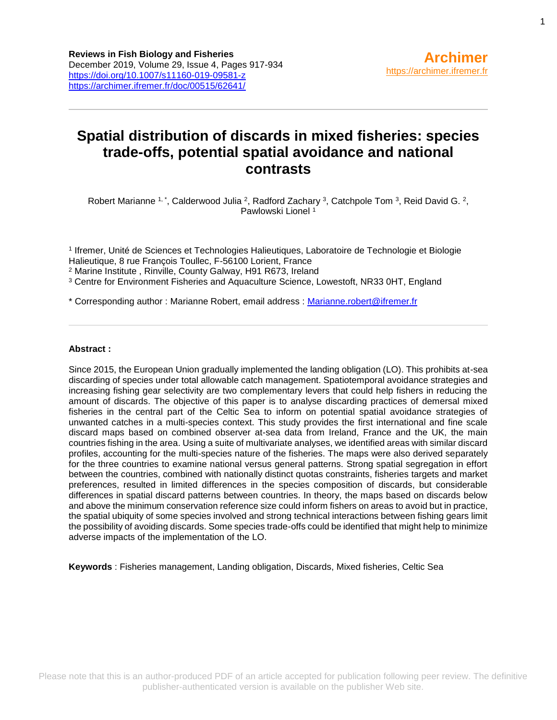# **Spatial distribution of discards in mixed fisheries: species trade-offs, potential spatial avoidance and national contrasts**

Robert Marianne 1, \*, Calderwood Julia <sup>2</sup>, Radford Zachary <sup>3</sup>, Catchpole Tom <sup>3</sup>, Reid David G. <sup>2</sup>, Pawlowski Lionel<sup>1</sup>

1 Ifremer, Unité de Sciences et Technologies Halieutiques, Laboratoire de Technologie et Biologie Halieutique, 8 rue François Toullec, F-56100 Lorient, France

<sup>2</sup> Marine Institute , Rinville, County Galway, H91 R673, Ireland

<sup>3</sup> Centre for Environment Fisheries and Aquaculture Science, Lowestoft, NR33 0HT, England

\* Corresponding author : Marianne Robert, email address : [Marianne.robert@ifremer.fr](mailto:Marianne.robert@ifremer.fr)

## **Abstract :**

Since 2015, the European Union gradually implemented the landing obligation (LO). This prohibits at-sea discarding of species under total allowable catch management. Spatiotemporal avoidance strategies and increasing fishing gear selectivity are two complementary levers that could help fishers in reducing the amount of discards. The objective of this paper is to analyse discarding practices of demersal mixed fisheries in the central part of the Celtic Sea to inform on potential spatial avoidance strategies of unwanted catches in a multi-species context. This study provides the first international and fine scale discard maps based on combined observer at-sea data from Ireland, France and the UK, the main countries fishing in the area. Using a suite of multivariate analyses, we identified areas with similar discard profiles, accounting for the multi-species nature of the fisheries. The maps were also derived separately for the three countries to examine national versus general patterns. Strong spatial segregation in effort between the countries, combined with nationally distinct quotas constraints, fisheries targets and market preferences, resulted in limited differences in the species composition of discards, but considerable differences in spatial discard patterns between countries. In theory, the maps based on discards below and above the minimum conservation reference size could inform fishers on areas to avoid but in practice, the spatial ubiquity of some species involved and strong technical interactions between fishing gears limit the possibility of avoiding discards. Some species trade-offs could be identified that might help to minimize adverse impacts of the implementation of the LO.

**Keywords** : Fisheries management, Landing obligation, Discards, Mixed fisheries, Celtic Sea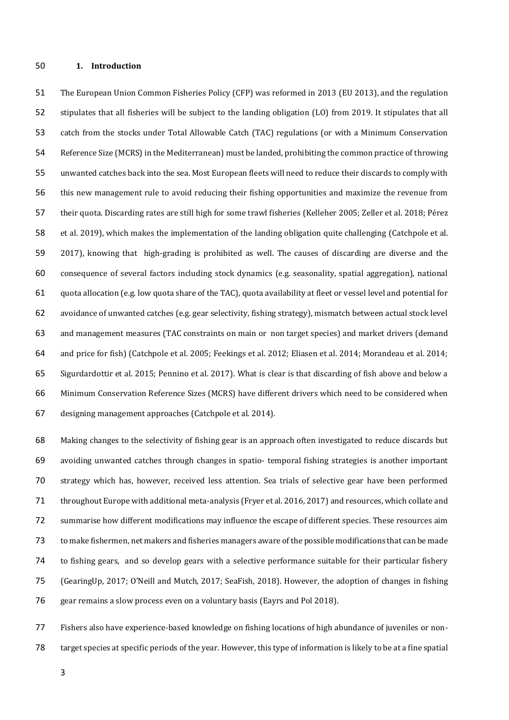## **1. Introduction**

 The European Union Common Fisheries Policy (CFP) was reformed in 2013 (EU 2013), and the regulation stipulates that all fisheries will be subject to the landing obligation (LO) from 2019. It stipulates that all catch from the stocks under Total Allowable Catch (TAC) regulations (or with a Minimum Conservation Reference Size (MCRS) in the Mediterranean) must be landed, prohibiting the common practice of throwing unwanted catches back into the sea. Most European fleets will need to reduce their discards to comply with this new management rule to avoid reducing their fishing opportunities and maximize the revenue from their quota. Discarding rates are still high for some trawl fisheries (Kelleher 2005; Zeller et al. 2018; Pérez et al. 2019), which makes the implementation of the landing obligation quite challenging (Catchpole et al. 2017), knowing that high-grading is prohibited as well. The causes of discarding are diverse and the consequence of several factors including stock dynamics (e.g. seasonality, spatial aggregation), national quota allocation (e.g. low quota share of the TAC), quota availability at fleet or vessel level and potential for avoidance of unwanted catches (e.g. gear selectivity, fishing strategy), mismatch between actual stock level and management measures (TAC constraints on main or non target species) and market drivers (demand and price for fish) (Catchpole et al. 2005; Feekings et al. 2012; Eliasen et al. 2014; Morandeau et al. 2014; Sigurdardottir et al. 2015; Pennino et al. 2017). What is clear is that discarding of fish above and below a Minimum Conservation Reference Sizes (MCRS) have different drivers which need to be considered when designing management approaches (Catchpole et al. 2014).

 Making changes to the selectivity of fishing gear is an approach often investigated to reduce discards but avoiding unwanted catches through changes in spatio- temporal fishing strategies is another important strategy which has, however, received less attention. Sea trials of selective gear have been performed throughout Europe with additional meta-analysis (Fryer et al. 2016, 2017) and resources, which collate and summarise how different modifications may influence the escape of different species. These resources aim to make fishermen, net makers and fisheries managers aware of the possible modifications that can be made to fishing gears, and so develop gears with a selective performance suitable for their particular fishery (GearingUp, 2017; O'Neill and Mutch, 2017; SeaFish, 2018). However, the adoption of changes in fishing gear remains a slow process even on a voluntary basis (Eayrs and Pol 2018).

 Fishers also have experience-based knowledge on fishing locations of high abundance of juveniles or non-target species at specific periods of the year. However, this type of information is likely to be at a fine spatial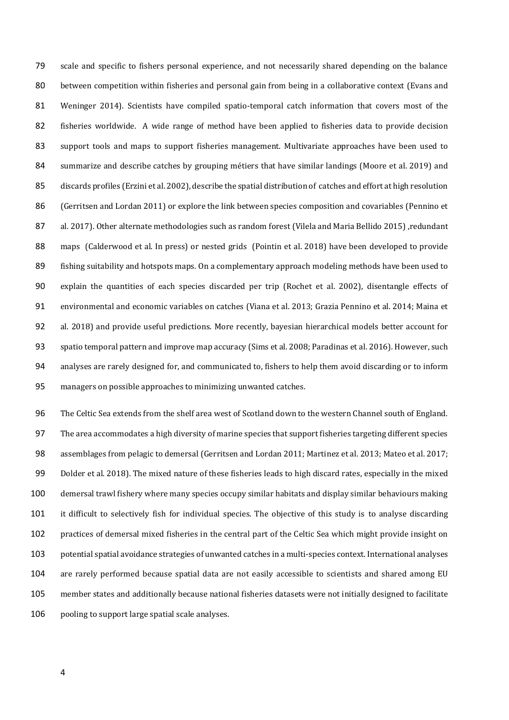scale and specific to fishers personal experience, and not necessarily shared depending on the balance between competition within fisheries and personal gain from being in a collaborative context (Evans and Weninger 2014). Scientists have compiled spatio-temporal catch information that covers most of the fisheries worldwide. A wide range of method have been applied to fisheries data to provide decision support tools and maps to support fisheries management. Multivariate approaches have been used to summarize and describe catches by grouping métiers that have similar landings (Moore et al. 2019) and discards profiles (Erzini et al. 2002), describe the spatial distribution of catches and effort at high resolution (Gerritsen and Lordan 2011) or explore the link between species composition and covariables (Pennino et al. 2017). Other alternate methodologies such as random forest (Vilela and Maria Bellido 2015) ,redundant maps (Calderwood et al. In press) or nested grids (Pointin et al. 2018) have been developed to provide fishing suitability and hotspots maps. On a complementary approach modeling methods have been used to explain the quantities of each species discarded per trip (Rochet et al. 2002), disentangle effects of environmental and economic variables on catches (Viana et al. 2013; Grazia Pennino et al. 2014; Maina et al. 2018) and provide useful predictions. More recently, bayesian hierarchical models better account for spatio temporal pattern and improve map accuracy (Sims et al. 2008; Paradinas et al. 2016). However, such analyses are rarely designed for, and communicated to, fishers to help them avoid discarding or to inform managers on possible approaches to minimizing unwanted catches.

 The Celtic Sea extends from the shelf area west of Scotland down to the western Channel south of England. The area accommodates a high diversity of marine species that support fisheries targeting different species assemblages from pelagic to demersal (Gerritsen and Lordan 2011; Martinez et al. 2013; Mateo et al. 2017; Dolder et al. 2018). The mixed nature of these fisheries leads to high discard rates, especially in the mixed demersal trawl fishery where many species occupy similar habitats and display similar behaviours making it difficult to selectively fish for individual species. The objective of this study is to analyse discarding practices of demersal mixed fisheries in the central part of the Celtic Sea which might provide insight on potential spatial avoidance strategies of unwanted catches in a multi-species context. International analyses are rarely performed because spatial data are not easily accessible to scientists and shared among EU member states and additionally because national fisheries datasets were not initially designed to facilitate 106 pooling to support large spatial scale analyses.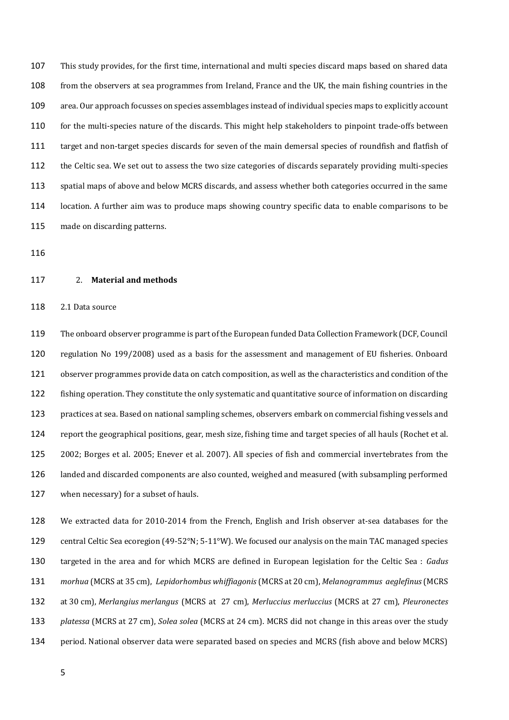This study provides, for the first time, international and multi species discard maps based on shared data from the observers at sea programmes from Ireland, France and the UK, the main fishing countries in the area. Our approach focusses on species assemblages instead of individual species maps to explicitly account for the multi-species nature of the discards. This might help stakeholders to pinpoint trade-offs between target and non-target species discards for seven of the main demersal species of roundfish and flatfish of the Celtic sea. We set out to assess the two size categories of discards separately providing multi-species spatial maps of above and below MCRS discards, and assess whether both categories occurred in the same location. A further aim was to produce maps showing country specific data to enable comparisons to be made on discarding patterns.

# 2. **Material and methods**

#### 2.1 Data source

 The onboard observer programme is part of the European funded Data Collection Framework (DCF, Council regulation No 199/2008) used as a basis for the assessment and management of EU fisheries. Onboard observer programmes provide data on catch composition, as well as the characteristics and condition of the fishing operation. They constitute the only systematic and quantitative source of information on discarding practices at sea. Based on national sampling schemes, observers embark on commercial fishing vessels and report the geographical positions, gear, mesh size, fishing time and target species of all hauls (Rochet et al. 2002; Borges et al. 2005; Enever et al. 2007). All species of fish and commercial invertebrates from the landed and discarded components are also counted, weighed and measured (with subsampling performed 127 when necessary) for a subset of hauls.

 We extracted data for 2010-2014 from the French, English and Irish observer at-sea databases for the central Celtic Sea ecoregion (49-52°N; 5-11°W). We focused our analysis on the main TAC managed species targeted in the area and for which MCRS are defined in European legislation for the Celtic Sea : *Gadus morhua* (MCRS at 35 cm), *Lepidorhombus whiffiagonis* (MCRS at 20 cm), *Melanogrammus aeglefinus* (MCRS at 30 cm), *Merlangius merlangus* (MCRS at 27 cm), *Merluccius merluccius* (MCRS at 27 cm), *Pleuronectes platessa* (MCRS at 27 cm), *Solea solea* (MCRS at 24 cm). MCRS did not change in this areas over the study period. National observer data were separated based on species and MCRS (fish above and below MCRS)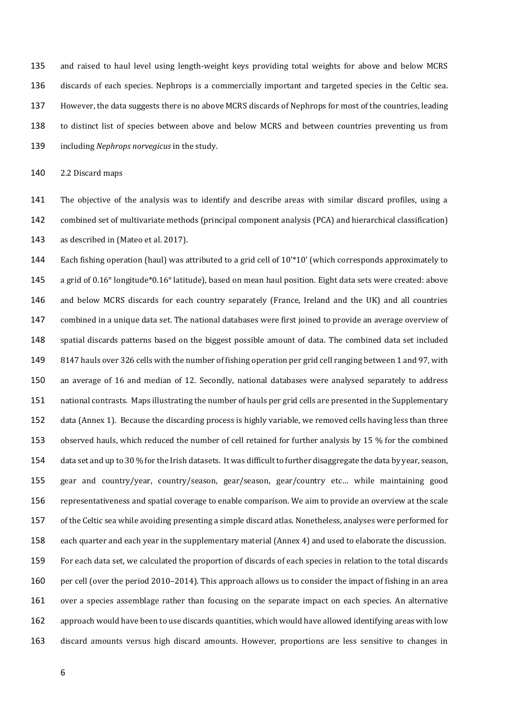and raised to haul level using length-weight keys providing total weights for above and below MCRS discards of each species. Nephrops is a commercially important and targeted species in the Celtic sea. However, the data suggests there is no above MCRS discards of Nephrops for most of the countries, leading to distinct list of species between above and below MCRS and between countries preventing us from including *Nephrops norvegicus* in the study.

2.2 Discard maps

 The objective of the analysis was to identify and describe areas with similar discard profiles, using a combined set of multivariate methods (principal component analysis (PCA) and hierarchical classification) as described in (Mateo et al. 2017).

 Each fishing operation (haul) was attributed to a grid cell of 10'\*10' (which corresponds approximately to a grid of 0.16° longitude\*0.16° latitude), based on mean haul position. Eight data sets were created: above and below MCRS discards for each country separately (France, Ireland and the UK) and all countries combined in a unique data set. The national databases were first joined to provide an average overview of spatial discards patterns based on the biggest possible amount of data. The combined data set included 8147 hauls over 326 cells with the number of fishing operation per grid cell ranging between 1 and 97, with an average of 16 and median of 12. Secondly, national databases were analysed separately to address national contrasts. Maps illustrating the number of hauls per grid cells are presented in the Supplementary data (Annex 1). Because the discarding process is highly variable, we removed cells having less than three observed hauls, which reduced the number of cell retained for further analysis by 15 % for the combined data set and up to 30 % for the Irish datasets. It was difficult to further disaggregate the data by year, season, gear and country/year, country/season, gear/season, gear/country etc… while maintaining good representativeness and spatial coverage to enable comparison. We aim to provide an overview at the scale of the Celtic sea while avoiding presenting a simple discard atlas. Nonetheless, analyses were performed for each quarter and each year in the supplementary material (Annex 4) and used to elaborate the discussion. For each data set, we calculated the proportion of discards of each species in relation to the total discards per cell (over the period 2010–2014). This approach allows us to consider the impact of fishing in an area over a species assemblage rather than focusing on the separate impact on each species. An alternative approach would have been to use discards quantities, which would have allowed identifying areas with low discard amounts versus high discard amounts. However, proportions are less sensitive to changes in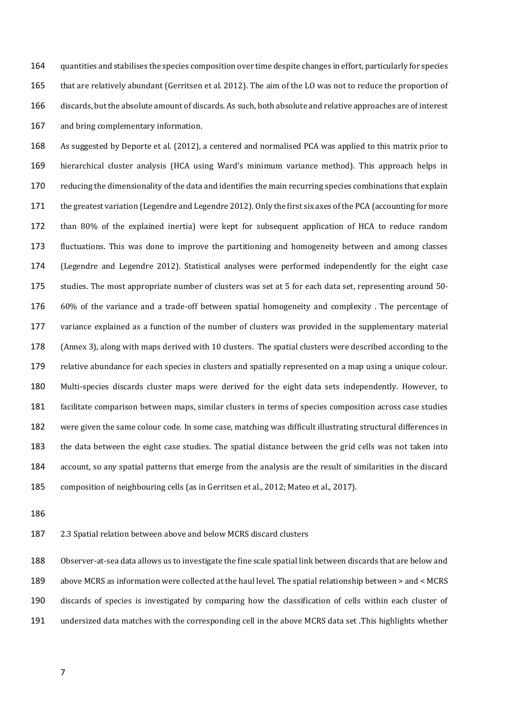quantities and stabilises the species composition over time despite changes in effort, particularly for species that are relatively abundant (Gerritsen et al. 2012). The aim of the LO was not to reduce the proportion of discards, but the absolute amount of discards. As such, both absolute and relative approaches are of interest and bring complementary information.

 As suggested by Deporte et al. (2012), a centered and normalised PCA was applied to this matrix prior to hierarchical cluster analysis (HCA using Ward's minimum variance method). This approach helps in reducing the dimensionality of the data and identifies the main recurring species combinations that explain the greatest variation (Legendre and Legendre 2012). Only the first six axes of the PCA (accounting for more than 80% of the explained inertia) were kept for subsequent application of HCA to reduce random fluctuations. This was done to improve the partitioning and homogeneity between and among classes (Legendre and Legendre 2012). Statistical analyses were performed independently for the eight case studies. The most appropriate number of clusters was set at 5 for each data set, representing around 50- 60% of the variance and a trade-off between spatial homogeneity and complexity . The percentage of variance explained as a function of the number of clusters was provided in the supplementary material (Annex 3), along with maps derived with 10 clusters. The spatial clusters were described according to the relative abundance for each species in clusters and spatially represented on a map using a unique colour. Multi-species discards cluster maps were derived for the eight data sets independently. However, to facilitate comparison between maps, similar clusters in terms of species composition across case studies were given the same colour code. In some case, matching was difficult illustrating structural differences in the data between the eight case studies. The spatial distance between the grid cells was not taken into account, so any spatial patterns that emerge from the analysis are the result of similarities in the discard composition of neighbouring cells (as in Gerritsen et al., 2012; Mateo et al., 2017).

# 2.3 Spatial relation between above and below MCRS discard clusters

 Observer-at-sea data allows us to investigate the fine scale spatial link between discards that are below and above MCRS as information were collected at the haul level. The spatial relationship between > and < MCRS discards of species is investigated by comparing how the classification of cells within each cluster of undersized data matches with the corresponding cell in the above MCRS data set .This highlights whether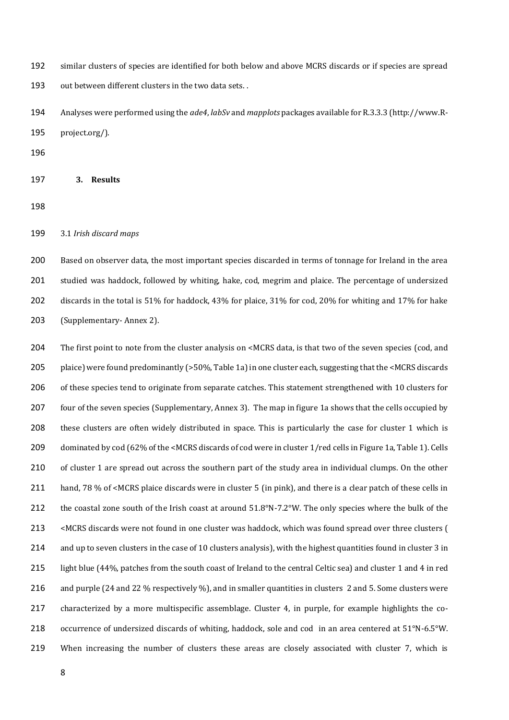similar clusters of species are identified for both below and above MCRS discards or if species are spread

out between different clusters in the two data sets. .

 Analyses were performed using the *ade4*, *labSv* and *mapplots* packages available for R.3.3.3 (http://www.R-project.org/).

**3. Results** 

3.1 *Irish discard maps*

 Based on observer data, the most important species discarded in terms of tonnage for Ireland in the area studied was haddock, followed by whiting, hake, cod, megrim and plaice. The percentage of undersized discards in the total is 51% for haddock, 43% for plaice, 31% for cod, 20% for whiting and 17% for hake (Supplementary- Annex 2).

 The first point to note from the cluster analysis on <MCRS data, is that two of the seven species (cod, and plaice) were found predominantly (>50%, Table 1a) in one cluster each, suggesting that the <MCRS discards of these species tend to originate from separate catches. This statement strengthened with 10 clusters for four of the seven species (Supplementary, Annex 3). The map in figure 1a shows that the cells occupied by these clusters are often widely distributed in space. This is particularly the case for cluster 1 which is 209 dominated by cod (62% of the <MCRS discards of cod were in cluster 1/red cells in Figure 1a, Table 1). Cells of cluster 1 are spread out across the southern part of the study area in individual clumps. On the other 211 hand, 78 % of <MCRS plaice discards were in cluster 5 (in pink), and there is a clear patch of these cells in the coastal zone south of the Irish coast at around 51.8°N-7.2°W. The only species where the bulk of the <MCRS discards were not found in one cluster was haddock, which was found spread over three clusters ( and up to seven clusters in the case of 10 clusters analysis), with the highest quantities found in cluster 3 in light blue (44%, patches from the south coast of Ireland to the central Celtic sea) and cluster 1 and 4 in red and purple (24 and 22 % respectively %), and in smaller quantities in clusters 2 and 5. Some clusters were 217 characterized by a more multispecific assemblage. Cluster 4, in purple, for example highlights the co- occurrence of undersized discards of whiting, haddock, sole and cod in an area centered at 51°N-6.5°W. 219 When increasing the number of clusters these areas are closely associated with cluster 7, which is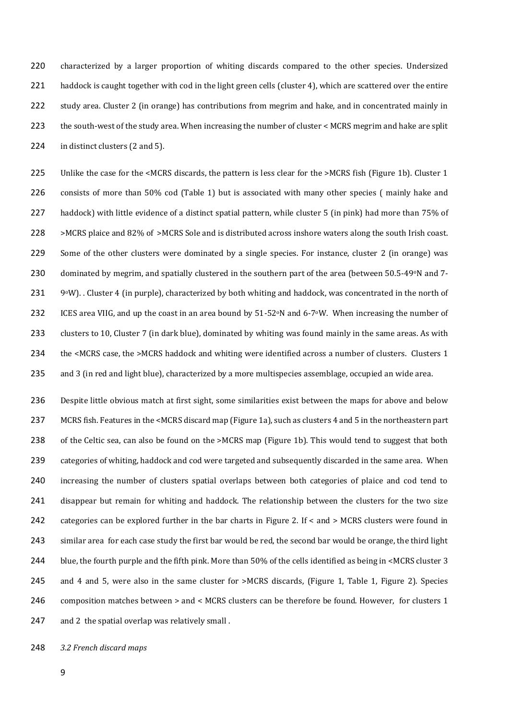characterized by a larger proportion of whiting discards compared to the other species. Undersized 221 haddock is caught together with cod in the light green cells (cluster 4), which are scattered over the entire study area. Cluster 2 (in orange) has contributions from megrim and hake, and in concentrated mainly in the south-west of the study area. When increasing the number of cluster < MCRS megrim and hake are split 224 in distinct clusters (2 and 5).

225 Unlike the case for the <MCRS discards, the pattern is less clear for the >MCRS fish (Figure 1b). Cluster 1 consists of more than 50% cod (Table 1) but is associated with many other species ( mainly hake and haddock) with little evidence of a distinct spatial pattern, while cluster 5 (in pink) had more than 75% of >MCRS plaice and 82% of >MCRS Sole and is distributed across inshore waters along the south Irish coast. Some of the other clusters were dominated by a single species. For instance, cluster 2 (in orange) was 230 dominated by megrim, and spatially clustered in the southern part of the area (between 50.5-49<sup>o</sup>N and 7- $9°W$ ). . Cluster 4 (in purple), characterized by both whiting and haddock, was concentrated in the north of 232 ICES area VIIG, and up the coast in an area bound by  $51-52\text{eN}$  and  $6-7\text{eW}$ . When increasing the number of clusters to 10, Cluster 7 (in dark blue), dominated by whiting was found mainly in the same areas. As with 234 the <MCRS case, the >MCRS haddock and whiting were identified across a number of clusters. Clusters 1 and 3 (in red and light blue), characterized by a more multispecies assemblage, occupied an wide area.

 Despite little obvious match at first sight, some similarities exist between the maps for above and below MCRS fish. Features in the <MCRS discard map (Figure 1a), such as clusters 4 and 5 in the northeastern part of the Celtic sea, can also be found on the >MCRS map (Figure 1b). This would tend to suggest that both categories of whiting, haddock and cod were targeted and subsequently discarded in the same area. When increasing the number of clusters spatial overlaps between both categories of plaice and cod tend to disappear but remain for whiting and haddock. The relationship between the clusters for the two size categories can be explored further in the bar charts in Figure 2. If < and > MCRS clusters were found in 243 similar area for each case study the first bar would be red, the second bar would be orange, the third light 244 blue, the fourth purple and the fifth pink. More than 50% of the cells identified as being in <MCRS cluster 3 and 4 and 5, were also in the same cluster for >MCRS discards, (Figure 1, Table 1, Figure 2). Species composition matches between > and < MCRS clusters can be therefore be found. However, for clusters 1 and 2 the spatial overlap was relatively small .

*3.2 French discard maps*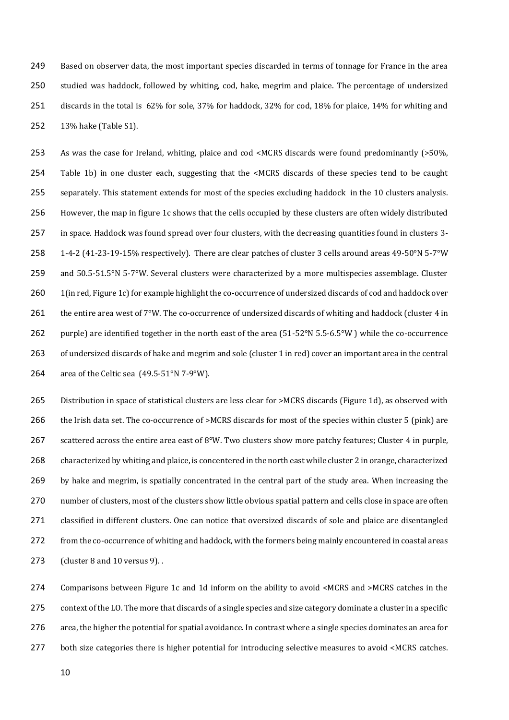249 Based on observer data, the most important species discarded in terms of tonnage for France in the area studied was haddock, followed by whiting, cod, hake, megrim and plaice. The percentage of undersized discards in the total is 62% for sole, 37% for haddock, 32% for cod, 18% for plaice, 14% for whiting and 13% hake (Table S1).

 As was the case for Ireland, whiting, plaice and cod <MCRS discards were found predominantly (>50%, Table 1b) in one cluster each, suggesting that the <MCRS discards of these species tend to be caught separately. This statement extends for most of the species excluding haddock in the 10 clusters analysis. However, the map in figure 1c shows that the cells occupied by these clusters are often widely distributed in space. Haddock was found spread over four clusters, with the decreasing quantities found in clusters 3- 1-4-2 (41-23-19-15% respectively). There are clear patches of cluster 3 cells around areas 49-50°N 5-7°W and 50.5-51.5°N 5-7°W. Several clusters were characterized by a more multispecies assemblage. Cluster 260 1 (in red, Figure 1c) for example highlight the co-occurrence of undersized discards of cod and haddock over 261 the entire area west of 7°W. The co-occurrence of undersized discards of whiting and haddock (cluster 4 in purple) are identified together in the north east of the area (51-52°N 5.5-6.5°W ) while the co-occurrence of undersized discards of hake and megrim and sole (cluster 1 in red) cover an important area in the central area of the Celtic sea (49.5-51°N 7-9°W).

 Distribution in space of statistical clusters are less clear for >MCRS discards (Figure 1d), as observed with 266 the Irish data set. The co-occurrence of >MCRS discards for most of the species within cluster 5 (pink) are 267 scattered across the entire area east of 8°W. Two clusters show more patchy features; Cluster 4 in purple, characterized by whiting and plaice, is concentered in the north east while cluster 2 in orange, characterized by hake and megrim, is spatially concentrated in the central part of the study area. When increasing the 270 number of clusters, most of the clusters show little obvious spatial pattern and cells close in space are often classified in different clusters. One can notice that oversized discards of sole and plaice are disentangled from the co-occurrence of whiting and haddock, with the formers being mainly encountered in coastal areas (cluster 8 and 10 versus 9). .

 Comparisons between Figure 1c and 1d inform on the ability to avoid <MCRS and >MCRS catches in the context of the LO. The more that discards of a single species and size category dominate a cluster in a specific area, the higher the potential for spatial avoidance. In contrast where a single species dominates an area for both size categories there is higher potential for introducing selective measures to avoid <MCRS catches.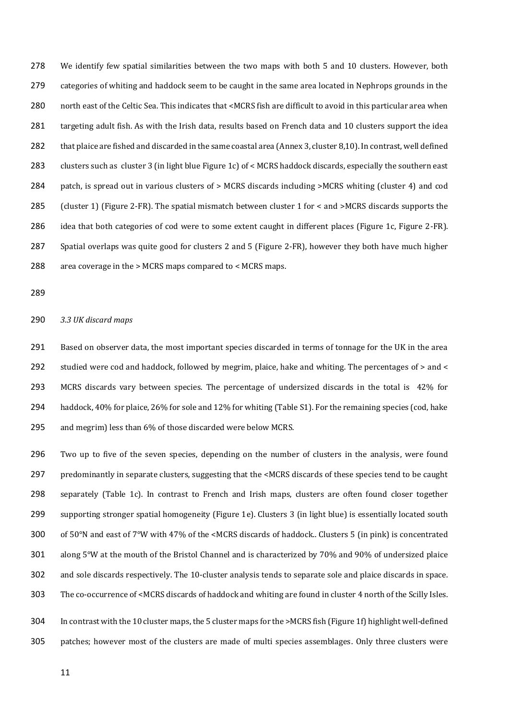We identify few spatial similarities between the two maps with both 5 and 10 clusters. However, both categories of whiting and haddock seem to be caught in the same area located in Nephrops grounds in the north east of the Celtic Sea. This indicates that <MCRS fish are difficult to avoid in this particular area when targeting adult fish. As with the Irish data, results based on French data and 10 clusters support the idea 282 that plaice are fished and discarded in the same coastal area (Annex 3, cluster 8,10). In contrast, well defined clusters such as cluster 3 (in light blue Figure 1c) of < MCRS haddock discards, especially the southern east patch, is spread out in various clusters of > MCRS discards including >MCRS whiting (cluster 4) and cod (cluster 1) (Figure 2-FR). The spatial mismatch between cluster 1 for < and >MCRS discards supports the idea that both categories of cod were to some extent caught in different places (Figure 1c, Figure 2-FR). Spatial overlaps was quite good for clusters 2 and 5 (Figure 2-FR), however they both have much higher area coverage in the > MCRS maps compared to < MCRS maps.

#### *3.3 UK discard maps*

 Based on observer data, the most important species discarded in terms of tonnage for the UK in the area studied were cod and haddock, followed by megrim, plaice, hake and whiting. The percentages of > and < MCRS discards vary between species. The percentage of undersized discards in the total is 42% for haddock, 40% for plaice, 26% for sole and 12% for whiting (Table S1). For the remaining species (cod, hake and megrim) less than 6% of those discarded were below MCRS.

 Two up to five of the seven species, depending on the number of clusters in the analysis, were found predominantly in separate clusters, suggesting that the <MCRS discards of these species tend to be caught separately (Table 1c). In contrast to French and Irish maps, clusters are often found closer together supporting stronger spatial homogeneity (Figure 1e). Clusters 3 (in light blue) is essentially located south of 50°N and east of 7°W with 47% of the <MCRS discards of haddock.. Clusters 5 (in pink) is concentrated along 5°W at the mouth of the Bristol Channel and is characterized by 70% and 90% of undersized plaice and sole discards respectively. The 10-cluster analysis tends to separate sole and plaice discards in space. The co-occurrence of <MCRS discards of haddock and whiting are found in cluster 4 north of the Scilly Isles.

 In contrast with the 10 cluster maps, the 5 cluster maps for the >MCRS fish (Figure 1f) highlight well-defined patches; however most of the clusters are made of multi species assemblages. Only three clusters were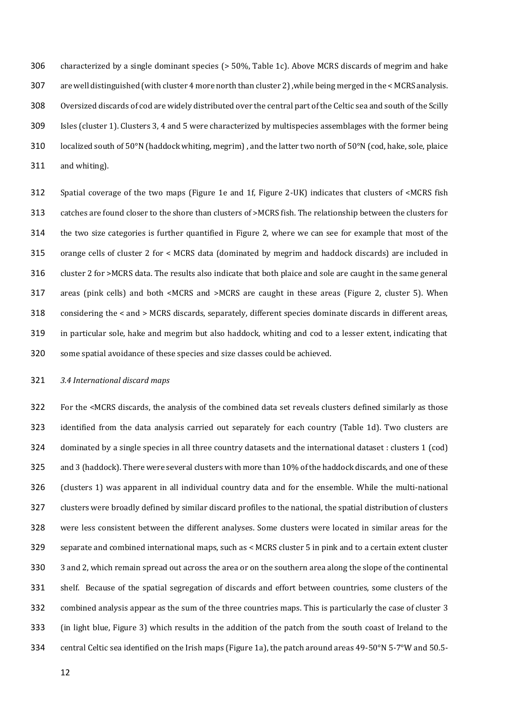characterized by a single dominant species (> 50%, Table 1c). Above MCRS discards of megrim and hake are well distinguished (with cluster 4 more north than cluster 2) ,while being merged in the < MCRS analysis. Oversized discards of cod are widely distributed over the central part of the Celtic sea and south of the Scilly Isles (cluster 1). Clusters 3, 4 and 5 were characterized by multispecies assemblages with the former being localized south of 50°N (haddock whiting, megrim) , and the latter two north of 50°N (cod, hake, sole, plaice and whiting).

 Spatial coverage of the two maps (Figure 1e and 1f, Figure 2-UK) indicates that clusters of <MCRS fish catches are found closer to the shore than clusters of >MCRS fish. The relationship between the clusters for the two size categories is further quantified in Figure 2, where we can see for example that most of the orange cells of cluster 2 for < MCRS data (dominated by megrim and haddock discards) are included in cluster 2 for >MCRS data. The results also indicate that both plaice and sole are caught in the same general areas (pink cells) and both <MCRS and >MCRS are caught in these areas (Figure 2, cluster 5). When considering the < and > MCRS discards, separately, different species dominate discards in different areas, in particular sole, hake and megrim but also haddock, whiting and cod to a lesser extent, indicating that some spatial avoidance of these species and size classes could be achieved.

# *3.4 International discard maps*

 For the <MCRS discards, the analysis of the combined data set reveals clusters defined similarly as those identified from the data analysis carried out separately for each country (Table 1d). Two clusters are dominated by a single species in all three country datasets and the international dataset : clusters 1 (cod) and 3 (haddock). There were several clusters with more than 10% of the haddock discards, and one of these (clusters 1) was apparent in all individual country data and for the ensemble. While the multi-national clusters were broadly defined by similar discard profiles to the national, the spatial distribution of clusters were less consistent between the different analyses. Some clusters were located in similar areas for the separate and combined international maps, such as < MCRS cluster 5 in pink and to a certain extent cluster 3 and 2, which remain spread out across the area or on the southern area along the slope of the continental shelf. Because of the spatial segregation of discards and effort between countries, some clusters of the combined analysis appear as the sum of the three countries maps. This is particularly the case of cluster 3 (in light blue, Figure 3) which results in the addition of the patch from the south coast of Ireland to the central Celtic sea identified on the Irish maps (Figure 1a), the patch around areas 49-50°N 5-7°W and 50.5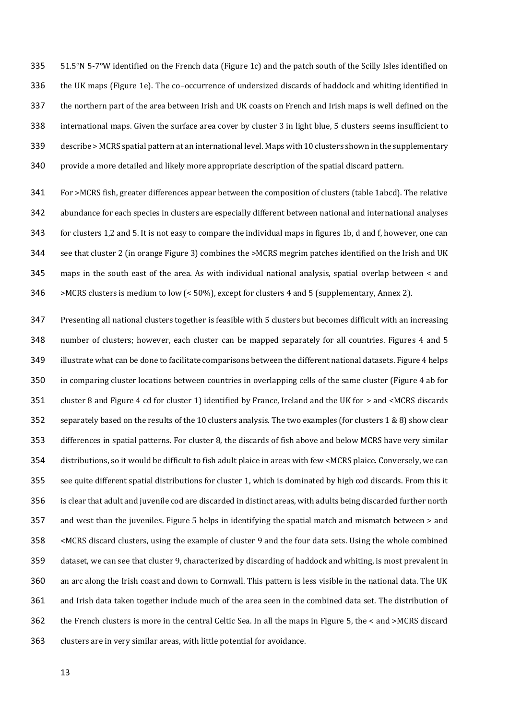51.5°N 5-7°W identified on the French data (Figure 1c) and the patch south of the Scilly Isles identified on the UK maps (Figure 1e). The co–occurrence of undersized discards of haddock and whiting identified in the northern part of the area between Irish and UK coasts on French and Irish maps is well defined on the international maps. Given the surface area cover by cluster 3 in light blue, 5 clusters seems insufficient to describe > MCRS spatial pattern at an international level. Maps with 10 clusters shown in the supplementary provide a more detailed and likely more appropriate description of the spatial discard pattern.

 For >MCRS fish, greater differences appear between the composition of clusters (table 1abcd). The relative abundance for each species in clusters are especially different between national and international analyses for clusters 1,2 and 5. It is not easy to compare the individual maps in figures 1b, d and f, however, one can see that cluster 2 (in orange Figure 3) combines the >MCRS megrim patches identified on the Irish and UK maps in the south east of the area. As with individual national analysis, spatial overlap between < and >MCRS clusters is medium to low (< 50%), except for clusters 4 and 5 (supplementary, Annex 2).

 Presenting all national clusters together is feasible with 5 clusters but becomes difficult with an increasing number of clusters; however, each cluster can be mapped separately for all countries. Figures 4 and 5 illustrate what can be done to facilitate comparisons between the different national datasets. Figure 4 helps in comparing cluster locations between countries in overlapping cells of the same cluster (Figure 4 ab for cluster 8 and Figure 4 cd for cluster 1) identified by France, Ireland and the UK for > and <MCRS discards 352 separately based on the results of the 10 clusters analysis. The two examples (for clusters  $1 \& 8$ ) show clear differences in spatial patterns. For cluster 8, the discards of fish above and below MCRS have very similar distributions, so it would be difficult to fish adult plaice in areas with few <MCRS plaice. Conversely, we can see quite different spatial distributions for cluster 1, which is dominated by high cod discards. From this it is clear that adult and juvenile cod are discarded in distinct areas, with adults being discarded further north and west than the juveniles. Figure 5 helps in identifying the spatial match and mismatch between > and <MCRS discard clusters, using the example of cluster 9 and the four data sets. Using the whole combined dataset, we can see that cluster 9, characterized by discarding of haddock and whiting, is most prevalent in an arc along the Irish coast and down to Cornwall. This pattern is less visible in the national data. The UK and Irish data taken together include much of the area seen in the combined data set. The distribution of the French clusters is more in the central Celtic Sea. In all the maps in Figure 5, the < and >MCRS discard clusters are in very similar areas, with little potential for avoidance.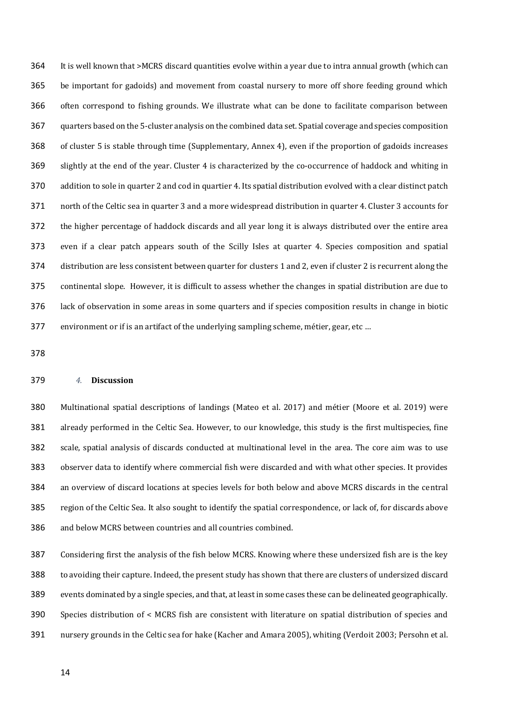It is well known that >MCRS discard quantities evolve within a year due to intra annual growth (which can be important for gadoids) and movement from coastal nursery to more off shore feeding ground which often correspond to fishing grounds. We illustrate what can be done to facilitate comparison between quarters based on the 5-cluster analysis on the combined data set. Spatial coverage and species composition of cluster 5 is stable through time (Supplementary, Annex 4), even if the proportion of gadoids increases slightly at the end of the year. Cluster 4 is characterized by the co-occurrence of haddock and whiting in addition to sole in quarter 2 and cod in quartier 4. Its spatial distribution evolved with a clear distinct patch north of the Celtic sea in quarter 3 and a more widespread distribution in quarter 4. Cluster 3 accounts for the higher percentage of haddock discards and all year long it is always distributed over the entire area even if a clear patch appears south of the Scilly Isles at quarter 4. Species composition and spatial distribution are less consistent between quarter for clusters 1 and 2, even if cluster 2 is recurrent along the continental slope. However, it is difficult to assess whether the changes in spatial distribution are due to lack of observation in some areas in some quarters and if species composition results in change in biotic environment or if is an artifact of the underlying sampling scheme, métier, gear, etc …

#### *4.* **Discussion**

 Multinational spatial descriptions of landings (Mateo et al. 2017) and métier (Moore et al. 2019) were already performed in the Celtic Sea. However, to our knowledge, this study is the first multispecies, fine scale, spatial analysis of discards conducted at multinational level in the area. The core aim was to use observer data to identify where commercial fish were discarded and with what other species. It provides an overview of discard locations at species levels for both below and above MCRS discards in the central region of the Celtic Sea. It also sought to identify the spatial correspondence, or lack of, for discards above and below MCRS between countries and all countries combined.

 Considering first the analysis of the fish below MCRS. Knowing where these undersized fish are is the key to avoiding their capture. Indeed, the present study has shown that there are clusters of undersized discard events dominated by a single species, and that, at least in some cases these can be delineated geographically. Species distribution of < MCRS fish are consistent with literature on spatial distribution of species and nursery grounds in the Celtic sea for hake (Kacher and Amara 2005), whiting (Verdoit 2003; Persohn et al.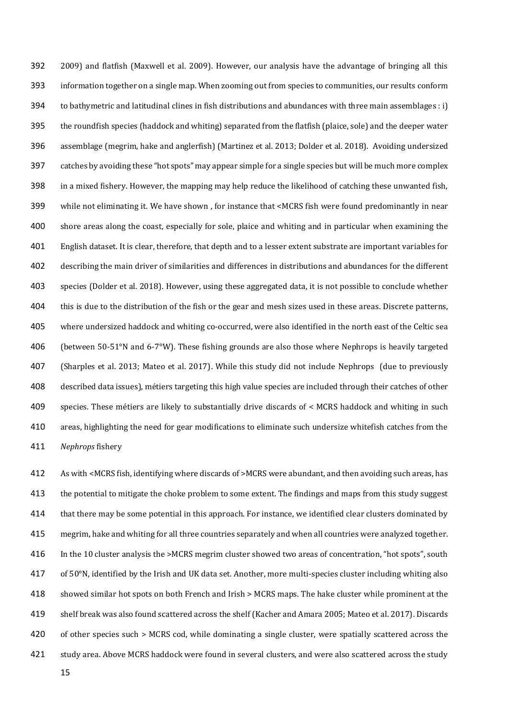2009) and flatfish (Maxwell et al. 2009). However, our analysis have the advantage of bringing all this information together on a single map. When zooming out from species to communities, our results conform to bathymetric and latitudinal clines in fish distributions and abundances with three main assemblages : i) the roundfish species (haddock and whiting) separated from the flatfish (plaice, sole) and the deeper water assemblage (megrim, hake and anglerfish) (Martinez et al. 2013; Dolder et al. 2018). Avoiding undersized catches by avoiding these "hot spots" may appear simple for a single species but will be much more complex in a mixed fishery. However, the mapping may help reduce the likelihood of catching these unwanted fish, while not eliminating it. We have shown , for instance that <MCRS fish were found predominantly in near shore areas along the coast, especially for sole, plaice and whiting and in particular when examining the English dataset. It is clear, therefore, that depth and to a lesser extent substrate are important variables for describing the main driver of similarities and differences in distributions and abundances for the different species (Dolder et al. 2018). However, using these aggregated data, it is not possible to conclude whether this is due to the distribution of the fish or the gear and mesh sizes used in these areas. Discrete patterns, where undersized haddock and whiting co-occurred, were also identified in the north east of the Celtic sea (between 50-51°N and 6-7°W). These fishing grounds are also those where Nephrops is heavily targeted (Sharples et al. 2013; Mateo et al. 2017). While this study did not include Nephrops (due to previously described data issues), métiers targeting this high value species are included through their catches of other species. These métiers are likely to substantially drive discards of < MCRS haddock and whiting in such areas, highlighting the need for gear modifications to eliminate such undersize whitefish catches from the *Nephrops* fishery

 As with <MCRS fish, identifying where discards of >MCRS were abundant, and then avoiding such areas, has the potential to mitigate the choke problem to some extent. The findings and maps from this study suggest that there may be some potential in this approach. For instance, we identified clear clusters dominated by megrim, hake and whiting for all three countries separately and when all countries were analyzed together. In the 10 cluster analysis the >MCRS megrim cluster showed two areas of concentration, "hot spots", south of 50°N, identified by the Irish and UK data set. Another, more multi-species cluster including whiting also showed similar hot spots on both French and Irish > MCRS maps. The hake cluster while prominent at the shelf break was also found scattered across the shelf (Kacher and Amara 2005; Mateo et al. 2017). Discards of other species such > MCRS cod, while dominating a single cluster, were spatially scattered across the 421 study area. Above MCRS haddock were found in several clusters, and were also scattered across the study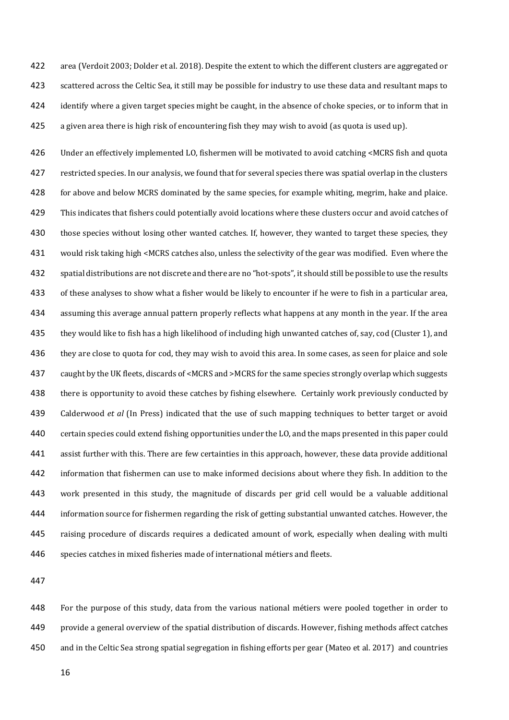area (Verdoit 2003; Dolder et al. 2018). Despite the extent to which the different clusters are aggregated or scattered across the Celtic Sea, it still may be possible for industry to use these data and resultant maps to identify where a given target species might be caught, in the absence of choke species, or to inform that in a given area there is high risk of encountering fish they may wish to avoid (as quota is used up).

 Under an effectively implemented LO, fishermen will be motivated to avoid catching <MCRS fish and quota restricted species. In our analysis, we found that for several species there was spatial overlap in the clusters for above and below MCRS dominated by the same species, for example whiting, megrim, hake and plaice. This indicates that fishers could potentially avoid locations where these clusters occur and avoid catches of those species without losing other wanted catches. If, however, they wanted to target these species, they would risk taking high <MCRS catches also, unless the selectivity of the gear was modified. Even where the spatial distributions are not discrete and there are no "hot-spots", it should still be possible to use the results of these analyses to show what a fisher would be likely to encounter if he were to fish in a particular area, assuming this average annual pattern properly reflects what happens at any month in the year. If the area they would like to fish has a high likelihood of including high unwanted catches of, say, cod (Cluster 1), and they are close to quota for cod, they may wish to avoid this area. In some cases, as seen for plaice and sole caught by the UK fleets, discards of <MCRS and >MCRS for the same species strongly overlap which suggests there is opportunity to avoid these catches by fishing elsewhere. Certainly work previously conducted by Calderwood *et al* (In Press) indicated that the use of such mapping techniques to better target or avoid certain species could extend fishing opportunities under the LO, and the maps presented in this paper could assist further with this. There are few certainties in this approach, however, these data provide additional information that fishermen can use to make informed decisions about where they fish. In addition to the work presented in this study, the magnitude of discards per grid cell would be a valuable additional information source for fishermen regarding the risk of getting substantial unwanted catches. However, the raising procedure of discards requires a dedicated amount of work, especially when dealing with multi species catches in mixed fisheries made of international métiers and fleets.

 For the purpose of this study, data from the various national métiers were pooled together in order to provide a general overview of the spatial distribution of discards. However, fishing methods affect catches and in the Celtic Sea strong spatial segregation in fishing efforts per gear (Mateo et al. 2017) and countries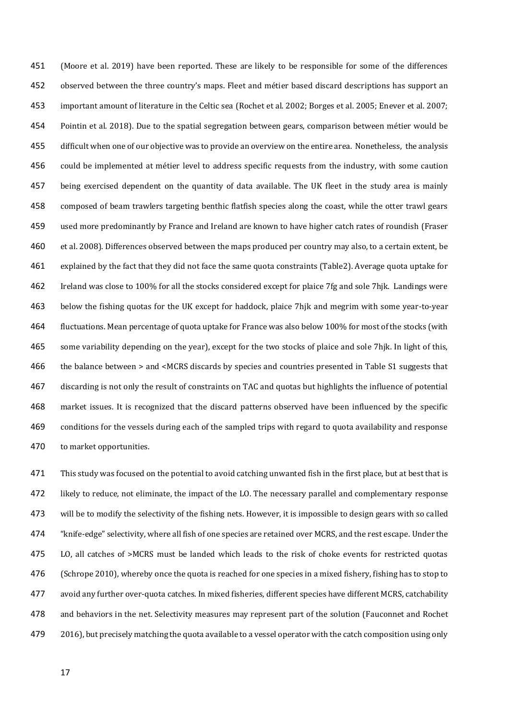(Moore et al. 2019) have been reported. These are likely to be responsible for some of the differences observed between the three country's maps. Fleet and métier based discard descriptions has support an important amount of literature in the Celtic sea (Rochet et al. 2002; Borges et al. 2005; Enever et al. 2007; Pointin et al. 2018). Due to the spatial segregation between gears, comparison between métier would be difficult when one of our objective was to provide an overview on the entire area. Nonetheless, the analysis could be implemented at métier level to address specific requests from the industry, with some caution being exercised dependent on the quantity of data available. The UK fleet in the study area is mainly composed of beam trawlers targeting benthic flatfish species along the coast, while the otter trawl gears used more predominantly by France and Ireland are known to have higher catch rates of roundish (Fraser et al. 2008). Differences observed between the maps produced per country may also, to a certain extent, be explained by the fact that they did not face the same quota constraints (Table2). Average quota uptake for Ireland was close to 100% for all the stocks considered except for plaice 7fg and sole 7hjk. Landings were below the fishing quotas for the UK except for haddock, plaice 7hjk and megrim with some year-to-year fluctuations. Mean percentage of quota uptake for France was also below 100% for most of the stocks (with some variability depending on the year), except for the two stocks of plaice and sole 7hjk. In light of this, the balance between > and <MCRS discards by species and countries presented in Table S1 suggests that discarding is not only the result of constraints on TAC and quotas but highlights the influence of potential market issues. It is recognized that the discard patterns observed have been influenced by the specific conditions for the vessels during each of the sampled trips with regard to quota availability and response to market opportunities.

 This study was focused on the potential to avoid catching unwanted fish in the first place, but at best that is likely to reduce, not eliminate, the impact of the LO. The necessary parallel and complementary response will be to modify the selectivity of the fishing nets. However, it is impossible to design gears with so called "knife-edge" selectivity, where all fish of one species are retained over MCRS, and the rest escape. Under the LO, all catches of >MCRS must be landed which leads to the risk of choke events for restricted quotas (Schrope 2010), whereby once the quota is reached for one species in a mixed fishery, fishing has to stop to avoid any further over-quota catches. In mixed fisheries, different species have different MCRS, catchability and behaviors in the net. Selectivity measures may represent part of the solution (Fauconnet and Rochet 2016), but precisely matching the quota available to a vessel operator with the catch composition using only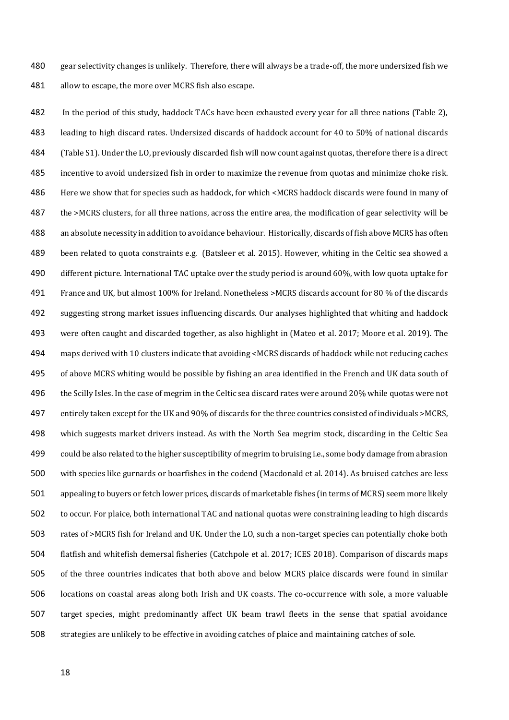gear selectivity changes is unlikely. Therefore, there will always be a trade-off, the more undersized fish we allow to escape, the more over MCRS fish also escape.

 In the period of this study, haddock TACs have been exhausted every year for all three nations (Table 2), leading to high discard rates. Undersized discards of haddock account for 40 to 50% of national discards (Table S1). Under the LO, previously discarded fish will now count against quotas, therefore there is a direct incentive to avoid undersized fish in order to maximize the revenue from quotas and minimize choke risk. Here we show that for species such as haddock, for which <MCRS haddock discards were found in many of the >MCRS clusters, for all three nations, across the entire area, the modification of gear selectivity will be an absolute necessity in addition to avoidance behaviour. Historically, discards of fish above MCRS has often been related to quota constraints e.g. (Batsleer et al. 2015). However, whiting in the Celtic sea showed a different picture. International TAC uptake over the study period is around 60%, with low quota uptake for France and UK, but almost 100% for Ireland. Nonetheless >MCRS discards account for 80 % of the discards suggesting strong market issues influencing discards. Our analyses highlighted that whiting and haddock were often caught and discarded together, as also highlight in (Mateo et al. 2017; Moore et al. 2019). The maps derived with 10 clusters indicate that avoiding <MCRS discards of haddock while not reducing caches of above MCRS whiting would be possible by fishing an area identified in the French and UK data south of the Scilly Isles. In the case of megrim in the Celtic sea discard rates were around 20% while quotas were not entirely taken except for the UK and 90% of discards for the three countries consisted of individuals >MCRS, which suggests market drivers instead. As with the North Sea megrim stock, discarding in the Celtic Sea could be also related to the higher susceptibility of megrim to bruising i.e., some body damage from abrasion with species like gurnards or boarfishes in the codend (Macdonald et al. 2014). As bruised catches are less appealing to buyers or fetch lower prices, discards of marketable fishes (in terms of MCRS) seem more likely to occur. For plaice, both international TAC and national quotas were constraining leading to high discards rates of >MCRS fish for Ireland and UK. Under the LO, such a non-target species can potentially choke both flatfish and whitefish demersal fisheries (Catchpole et al. 2017; ICES 2018). Comparison of discards maps of the three countries indicates that both above and below MCRS plaice discards were found in similar locations on coastal areas along both Irish and UK coasts. The co-occurrence with sole, a more valuable target species, might predominantly affect UK beam trawl fleets in the sense that spatial avoidance strategies are unlikely to be effective in avoiding catches of plaice and maintaining catches of sole.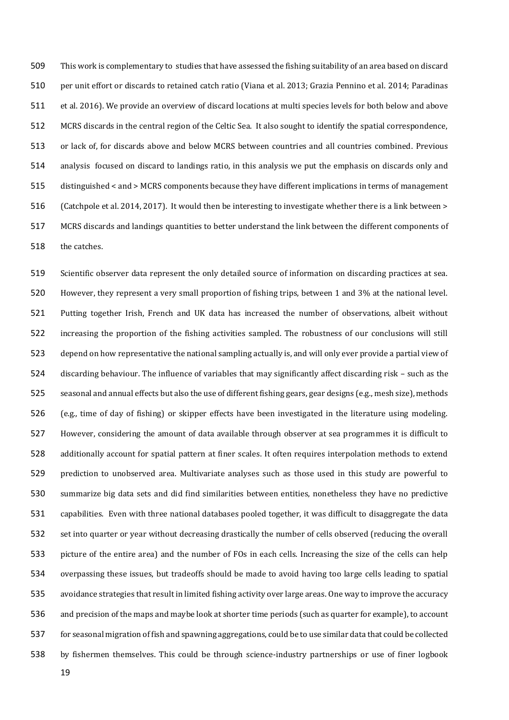This work is complementary to studies that have assessed the fishing suitability of an area based on discard per unit effort or discards to retained catch ratio (Viana et al. 2013; Grazia Pennino et al. 2014; Paradinas et al. 2016). We provide an overview of discard locations at multi species levels for both below and above MCRS discards in the central region of the Celtic Sea. It also sought to identify the spatial correspondence, or lack of, for discards above and below MCRS between countries and all countries combined. Previous analysis focused on discard to landings ratio, in this analysis we put the emphasis on discards only and distinguished < and > MCRS components because they have different implications in terms of management (Catchpole et al. 2014, 2017). It would then be interesting to investigate whether there is a link between > MCRS discards and landings quantities to better understand the link between the different components of the catches.

 Scientific observer data represent the only detailed source of information on discarding practices at sea. However, they represent a very small proportion of fishing trips, between 1 and 3% at the national level. Putting together Irish, French and UK data has increased the number of observations, albeit without increasing the proportion of the fishing activities sampled. The robustness of our conclusions will still depend on how representative the national sampling actually is, and will only ever provide a partial view of discarding behaviour. The influence of variables that may significantly affect discarding risk – such as the seasonal and annual effects but also the use of different fishing gears, gear designs (e.g., mesh size), methods (e.g., time of day of fishing) or skipper effects have been investigated in the literature using modeling. However, considering the amount of data available through observer at sea programmes it is difficult to additionally account for spatial pattern at finer scales. It often requires interpolation methods to extend prediction to unobserved area. Multivariate analyses such as those used in this study are powerful to summarize big data sets and did find similarities between entities, nonetheless they have no predictive capabilities. Even with three national databases pooled together, it was difficult to disaggregate the data set into quarter or year without decreasing drastically the number of cells observed (reducing the overall picture of the entire area) and the number of FOs in each cells. Increasing the size of the cells can help overpassing these issues, but tradeoffs should be made to avoid having too large cells leading to spatial avoidance strategies that result in limited fishing activity over large areas. One way to improve the accuracy and precision of the maps and maybe look at shorter time periods (such as quarter for example), to account for seasonal migration of fish and spawning aggregations, could be to use similar data that could be collected by fishermen themselves. This could be through science-industry partnerships or use of finer logbook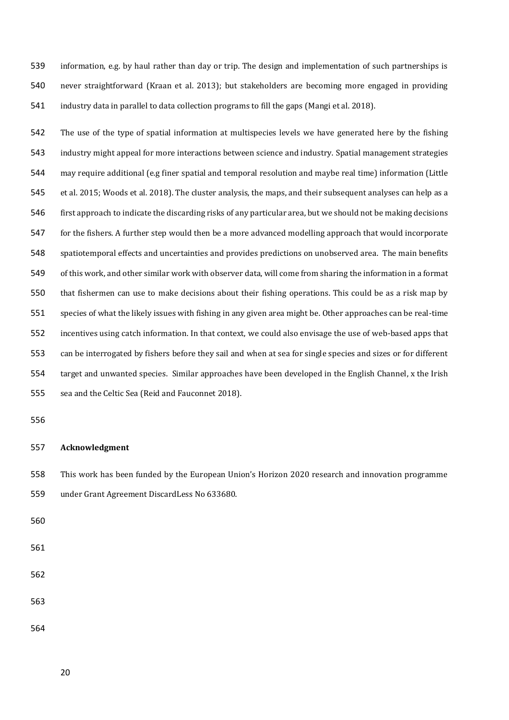information, e.g. by haul rather than day or trip. The design and implementation of such partnerships is never straightforward (Kraan et al. 2013); but stakeholders are becoming more engaged in providing industry data in parallel to data collection programs to fill the gaps (Mangi et al. 2018).

 The use of the type of spatial information at multispecies levels we have generated here by the fishing industry might appeal for more interactions between science and industry. Spatial management strategies may require additional (e.g finer spatial and temporal resolution and maybe real time) information (Little et al. 2015; Woods et al. 2018). The cluster analysis, the maps, and their subsequent analyses can help as a first approach to indicate the discarding risks of any particular area, but we should not be making decisions for the fishers. A further step would then be a more advanced modelling approach that would incorporate spatiotemporal effects and uncertainties and provides predictions on unobserved area. The main benefits of this work, and other similar work with observer data, will come from sharing the information in a format that fishermen can use to make decisions about their fishing operations. This could be as a risk map by species of what the likely issues with fishing in any given area might be. Other approaches can be real-time incentives using catch information. In that context, we could also envisage the use of web-based apps that can be interrogated by fishers before they sail and when at sea for single species and sizes or for different target and unwanted species. Similar approaches have been developed in the English Channel, x the Irish sea and the Celtic Sea (Reid and Fauconnet 2018).

#### **Acknowledgment**

 This work has been funded by the European Union's Horizon 2020 research and innovation programme under Grant Agreement DiscardLess No 633680.

- 
-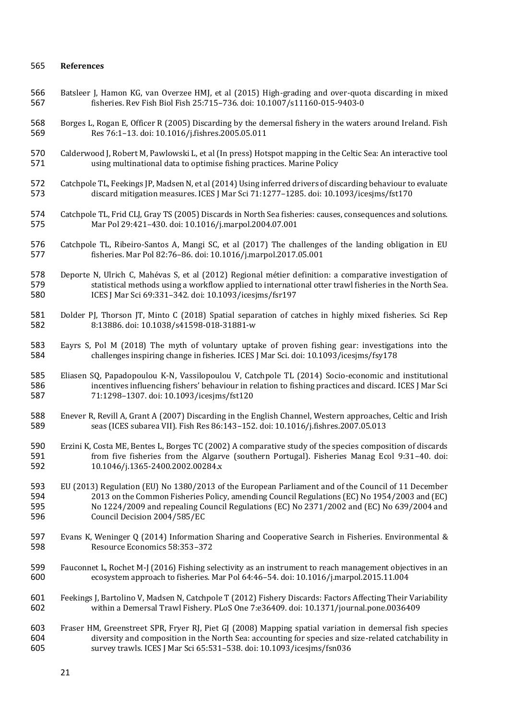### **References**

- Batsleer J, Hamon KG, van Overzee HMJ, et al (2015) High-grading and over-quota discarding in mixed fisheries. Rev Fish Biol Fish 25:715–736. doi: 10.1007/s11160-015-9403-0
- 568 Borges L, Rogan E, Officer R (2005) Discarding by the demersal fishery in the waters around Ireland. Fish<br>569 Res 76:1-13. doi: 10.1016/j.fishres.2005.05.011 Res 76:1–13. doi: 10.1016/j.fishres.2005.05.011
- 570 Calderwood J, Robert M, Pawlowski L, et al (In press) Hotspot mapping in the Celtic Sea: An interactive tool<br>571 Ultimational data to optimise fishing practices. Marine Policy using multinational data to optimise fishing practices. Marine Policy
- Catchpole TL, Feekings JP, Madsen N, et al (2014) Using inferred drivers of discarding behaviour to evaluate discard mitigation measures. ICES J Mar Sci 71:1277–1285. doi: 10.1093/icesjms/fst170
- 574 Catchpole TL, Frid CLJ, Gray TS (2005) Discards in North Sea fisheries: causes, consequences and solutions.<br>575 Mar Pol 29:421-430. doi: 10.1016/j.marpol.2004.07.001 Mar Pol 29:421–430. doi: 10.1016/j.marpol.2004.07.001
- 576 Catchpole TL, Ribeiro-Santos A, Mangi SC, et al (2017) The challenges of the landing obligation in EU<br>577 fisheries. Mar Pol 82:76-86. doi: 10.1016/i.marpol.2017.05.001 fisheries. Mar Pol 82:76–86. doi: 10.1016/j.marpol.2017.05.001
- Deporte N, Ulrich C, Mahévas S, et al (2012) Regional métier definition: a comparative investigation of 579 statistical methods using a workflow applied to international otter trawl fisheries in the North Sea.<br>580 [ICES ] Mar Sci 69:331-342. doi: 10.1093/icesjms/fsr197 ICES J Mar Sci 69:331–342. doi: 10.1093/icesjms/fsr197
- Dolder PJ, Thorson JT, Minto C (2018) Spatial separation of catches in highly mixed fisheries. Sci Rep 8:13886. doi: 10.1038/s41598-018-31881-w
- Eayrs S, Pol M (2018) The myth of voluntary uptake of proven fishing gear: investigations into the challenges inspiring change in fisheries. ICES J Mar Sci. doi: 10.1093/icesjms/fsy178
- Eliasen SQ, Papadopoulou K-N, Vassilopoulou V, Catchpole TL (2014) Socio-economic and institutional incentives influencing fishers' behaviour in relation to fishing practices and discard. ICES J Mar Sci 71:1298–1307. doi: 10.1093/icesjms/fst120
- 588 Enever R, Revill A, Grant A (2007) Discarding in the English Channel, Western approaches, Celtic and Irish<br>589 seas (ICES subarea VII). Fish Res 86:143-152. doi: 10.1016/j.fishres.2007.05.013 seas (ICES subarea VII). Fish Res 86:143–152. doi: 10.1016/j.fishres.2007.05.013
- Erzini K, Costa ME, Bentes L, Borges TC (2002) A comparative study of the species composition of discards 591 from five fisheries from the Algarve (southern Portugal). Fisheries Manag Ecol 9:31-40. doi:<br>592 10.1046/j.1365-2400.2002.00284.x 10.1046/j.1365-2400.2002.00284.x
- EU (2013) Regulation (EU) No 1380/2013 of the European Parliament and of the Council of 11 December 594 2013 on the Common Fisheries Policy, amending Council Regulations (EC) No 1954/2003 and (EC)<br>595 No 1224/2009 and repealing Council Regulations (EC) No 2371/2002 and (EC) No 639/2004 and No 1224/2009 and repealing Council Regulations (EC) No 2371/2002 and (EC) No 639/2004 and Council Decision 2004/585/EC
- Evans K, Weninger Q (2014) Information Sharing and Cooperative Search in Fisheries. Environmental & Resource Economics 58:353–372
- 599 Fauconnet L, Rochet M-J (2016) Fishing selectivity as an instrument to reach management objectives in an<br>600 ecosystem approach to fisheries. Mar Pol 64:46-54. doi: 10.1016/i.marpol.2015.11.004 ecosystem approach to fisheries. Mar Pol 64:46–54. doi: 10.1016/j.marpol.2015.11.004
- Feekings J, Bartolino V, Madsen N, Catchpole T (2012) Fishery Discards: Factors Affecting Their Variability within a Demersal Trawl Fishery. PLoS One 7:e36409. doi: 10.1371/journal.pone.0036409
- Fraser HM, Greenstreet SPR, Fryer RJ, Piet GJ (2008) Mapping spatial variation in demersal fish species diversity and composition in the North Sea: accounting for species and size-related catchability in survey trawls. ICES J Mar Sci 65:531–538. doi: 10.1093/icesjms/fsn036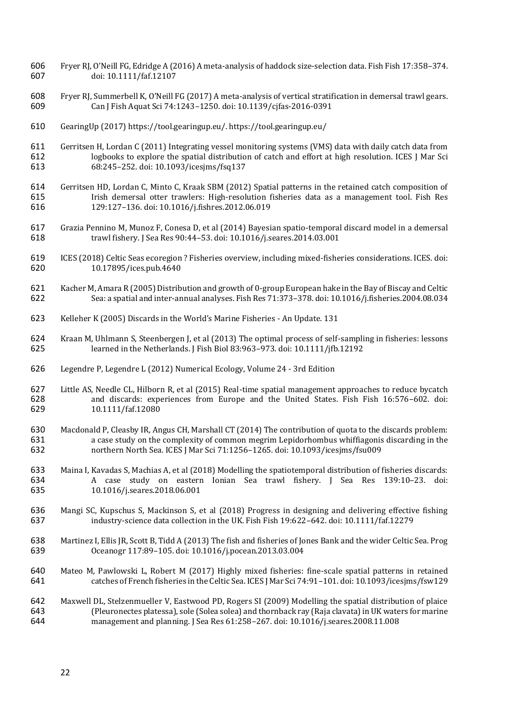- Fryer RJ, O'Neill FG, Edridge A (2016) A meta-analysis of haddock size-selection data. Fish Fish 17:358–374. doi: 10.1111/faf.12107
- 608 Fryer RJ, Summerbell K, O'Neill FG (2017) A meta-analysis of vertical stratification in demersal trawl gears.<br>609 **Can Fish Aquat Sci 74:1243-1250**. doi: 10.1139/cifas-2016-0391 Can J Fish Aquat Sci 74:1243–1250. doi: 10.1139/cjfas-2016-0391
- GearingUp (2017) https://tool.gearingup.eu/. https://tool.gearingup.eu/
- 611 Gerritsen H, Lordan C (2011) Integrating vessel monitoring systems (VMS) data with daily catch data from<br>612 **Integration** the spatial distribution of catch and effort at high resolution. ICES J Mar Sci logbooks to explore the spatial distribution of catch and effort at high resolution. ICES J Mar Sci 68:245–252. doi: 10.1093/icesjms/fsq137
- 614 Gerritsen HD, Lordan C, Minto C, Kraak SBM (2012) Spatial patterns in the retained catch composition of 615 Irish demersal otter trawlers: High-resolution fisheries data as a management tool. Fish Res Irish demersal otter trawlers: High-resolution fisheries data as a management tool. Fish Res 129:127–136. doi: 10.1016/j.fishres.2012.06.019
- Grazia Pennino M, Munoz F, Conesa D, et al (2014) Bayesian spatio-temporal discard model in a demersal trawl fishery. J Sea Res 90:44–53. doi: 10.1016/j.seares.2014.03.001
- ICES (2018) Celtic Seas ecoregion ? Fisheries overview, including mixed-fisheries considerations. ICES. doi: 10.17895/ices.pub.4640
- Kacher M, Amara R (2005) Distribution and growth of 0-group European hake in the Bay of Biscay and Celtic Sea: a spatial and inter-annual analyses. Fish Res 71:373–378. doi: 10.1016/j.fisheries.2004.08.034
- Kelleher K (2005) Discards in the World's Marine Fisheries An Update. 131
- Kraan M, Uhlmann S, Steenbergen J, et al (2013) The optimal process of self-sampling in fisheries: lessons learned in the Netherlands. J Fish Biol 83:963–973. doi: 10.1111/jfb.12192
- Legendre P, Legendre L (2012) Numerical Ecology, Volume 24 3rd Edition
- Little AS, Needle CL, Hilborn R, et al (2015) Real-time spatial management approaches to reduce bycatch and discards: experiences from Europe and the United States. Fish Fish 16:576–602. doi: 10.1111/faf.12080
- Macdonald P, Cleasby IR, Angus CH, Marshall CT (2014) The contribution of quota to the discards problem: 631 a case study on the complexity of common megrim Lepidorhombus whiffiagonis discarding in the<br>632 horthern North Sea. ICES J Mar Sci 71:1256-1265. doi: 10.1093/icesjms/fsu009 northern North Sea. ICES J Mar Sci 71:1256–1265. doi: 10.1093/icesjms/fsu009
- Maina I, Kavadas S, Machias A, et al (2018) Modelling the spatiotemporal distribution of fisheries discards: A case study on eastern Ionian Sea trawl fishery. J Sea Res 139:10–23. doi: 10.1016/j.seares.2018.06.001
- Mangi SC, Kupschus S, Mackinson S, et al (2018) Progress in designing and delivering effective fishing industry-science data collection in the UK. Fish Fish 19:622–642. doi: 10.1111/faf.12279
- Martinez I, Ellis JR, Scott B, Tidd A (2013) The fish and fisheries of Jones Bank and the wider Celtic Sea. Prog Oceanogr 117:89–105. doi: 10.1016/j.pocean.2013.03.004
- Mateo M, Pawlowski L, Robert M (2017) Highly mixed fisheries: fine-scale spatial patterns in retained catches of French fisheries in the Celtic Sea. ICES J Mar Sci 74:91–101. doi: 10.1093/icesjms/fsw129
- 642 Maxwell DL, Stelzenmueller V, Eastwood PD, Rogers SI (2009) Modelling the spatial distribution of plaice<br>643 (Pleuronectes platessa), sole (Solea solea) and thornback ray (Raja clavata) in UK waters for marine (Pleuronectes platessa), sole (Solea solea) and thornback ray (Raja clavata) in UK waters for marine management and planning. J Sea Res 61:258–267. doi: 10.1016/j.seares.2008.11.008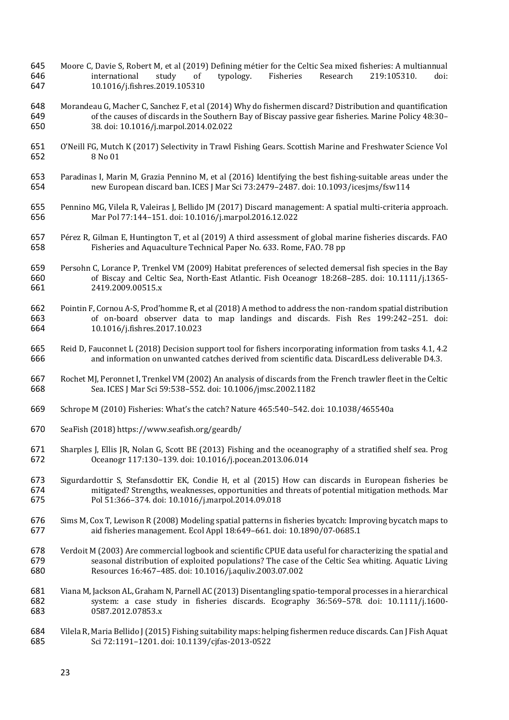- Moore C, Davie S, Robert M, et al (2019) Defining métier for the Celtic Sea mixed fisheries: A multiannual international study of typology. Fisheries Research 219:105310. doi: 10.1016/j.fishres.2019.105310
- Morandeau G, Macher C, Sanchez F, et al (2014) Why do fishermen discard? Distribution and quantification of the causes of discards in the Southern Bay of Biscay passive gear fisheries. Marine Policy 48:30– 38. doi: 10.1016/j.marpol.2014.02.022
- O'Neill FG, Mutch K (2017) Selectivity in Trawl Fishing Gears. Scottish Marine and Freshwater Science Vol 8 No 01
- 653 Paradinas I, Marin M, Grazia Pennino M, et al (2016) Identifying the best fishing-suitable areas under the<br>654 new European discard ban. ICES J Mar Sci 73:2479-2487. doi: 10.1093/icesims/fsw114 new European discard ban. ICES J Mar Sci 73:2479–2487. doi: 10.1093/icesjms/fsw114
- Pennino MG, Vilela R, Valeiras J, Bellido JM (2017) Discard management: A spatial multi-criteria approach. Mar Pol 77:144–151. doi: 10.1016/j.marpol.2016.12.022
- Pérez R, Gilman E, Huntington T, et al (2019) A third assessment of global marine fisheries discards. FAO Fisheries and Aquaculture Technical Paper No. 633. Rome, FAO. 78 pp
- 659 Persohn C, Lorance P, Trenkel VM (2009) Habitat preferences of selected demersal fish species in the Bay<br>660 of Biscay and Celtic Sea, North-East Atlantic. Fish Oceanogr 18:268–285. doi: 10.1111/i.1365of Biscay and Celtic Sea, North-East Atlantic. Fish Oceanogr 18:268–285. doi: 10.1111/j.1365-2419.2009.00515.x
- Pointin F, Cornou A-S, Prod'homme R, et al (2018) A method to address the non-random spatial distribution of on-board observer data to map landings and discards. Fish Res 199:242–251. doi: 10.1016/j.fishres.2017.10.023
- Reid D, Fauconnet L (2018) Decision support tool for fishers incorporating information from tasks 4.1, 4.2 and information on unwanted catches derived from scientific data. DiscardLess deliverable D4.3.
- 667 Rochet MJ, Peronnet I, Trenkel VM (2002) An analysis of discards from the French trawler fleet in the Celtic<br>668 Sea. ICES J Mar Sci 59:538–552. doi: 10.1006/jmsc.2002.1182 Sea. ICES J Mar Sci 59:538–552. doi: 10.1006/jmsc.2002.1182
- Schrope M (2010) Fisheries: What's the catch? Nature 465:540–542. doi: 10.1038/465540a
- SeaFish (2018) https://www.seafish.org/geardb/
- Sharples J, Ellis JR, Nolan G, Scott BE (2013) Fishing and the oceanography of a stratified shelf sea. Prog Oceanogr 117:130–139. doi: 10.1016/j.pocean.2013.06.014
- Sigurdardottir S, Stefansdottir EK, Condie H, et al (2015) How can discards in European fisheries be mitigated? Strengths, weaknesses, opportunities and threats of potential mitigation methods. Mar Pol 51:366–374. doi: 10.1016/j.marpol.2014.09.018
- 676 Sims M, Cox T, Lewison R (2008) Modeling spatial patterns in fisheries bycatch: Improving bycatch maps to<br>677 aid fisheries management. Ecol Appl 18:649-661. doi: 10.1890/07-0685.1 aid fisheries management. Ecol Appl 18:649–661. doi: 10.1890/07-0685.1
- 678 Verdoit M (2003) Are commercial logbook and scientific CPUE data useful for characterizing the spatial and<br>679 seasonal distribution of exploited populations? The case of the Celtic Sea whiting. Aquatic Living seasonal distribution of exploited populations? The case of the Celtic Sea whiting. Aquatic Living Resources 16:467–485. doi: 10.1016/j.aquliv.2003.07.002
- 681 Viana M, Jackson AL, Graham N, Parnell AC (2013) Disentangling spatio-temporal processes in a hierarchical<br>682 system: a case study in fisheries discards. Ecography 36:569-578. doi: 10.1111/j.1600system: a case study in fisheries discards. Ecography 36:569-578. doi: 10.1111/j.1600-0587.2012.07853.x
- 684 Vilela R, Maria Bellido J (2015) Fishing suitability maps: helping fishermen reduce discards. Can J Fish Aquat<br>685 Sci 72:1191-1201. doi: 10.1139/cifas-2013-0522 Sci 72:1191–1201. doi: 10.1139/cjfas-2013-0522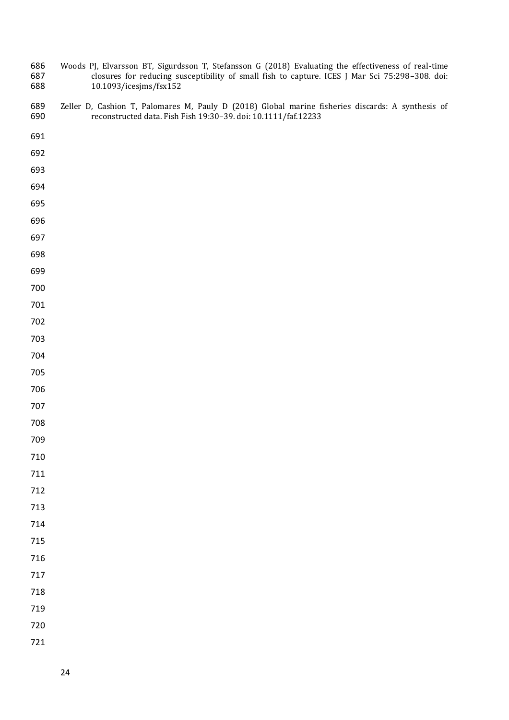Woods PJ, Elvarsson BT, Sigurdsson T, Stefansson G (2018) Evaluating the effectiveness of real-time closures for reducing susceptibility of small fish to capture. ICES J Mar Sci 75:298–308. doi: 10.1093/icesjms/fsx152

| 689 | Zeller D, Cashion T, Palomares M, Pauly D (2018) Global marine fisheries discards: A synthesis of |
|-----|---------------------------------------------------------------------------------------------------|
| 690 | reconstructed data. Fish Fish 19:30-39. doi: 10.1111/faf.12233                                    |

- 
- 
- 
- 
- 
- 
- 
- 
- 
- 
- 
- 
- 
- 
- 
- 
- 
- 
- 
- 
- 
- 
- 
- 
- 
- 
- 
- 
- 
-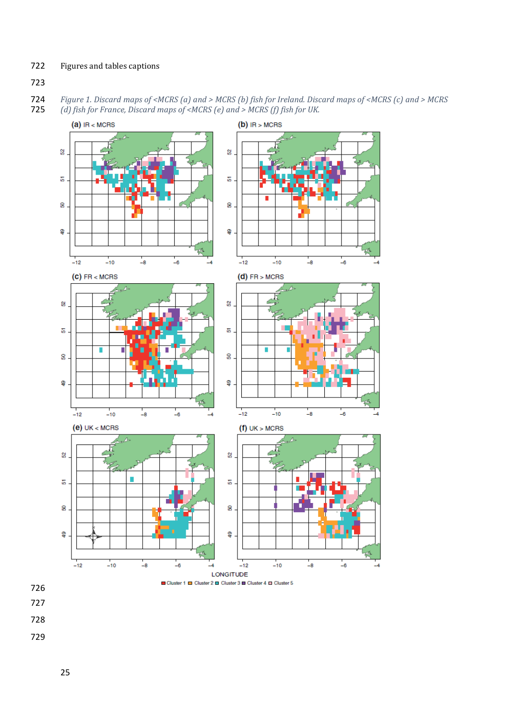# Figures and tables captions



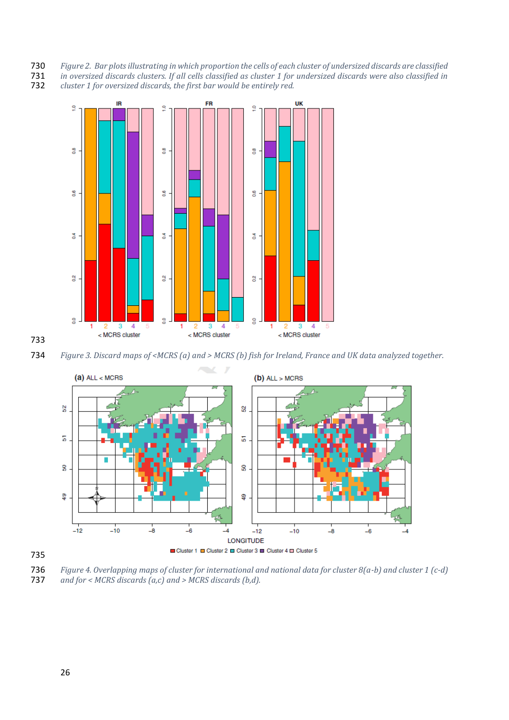*Figure 2. Bar plots illustrating in which proportion the cells of each cluster of undersized discards are classified* 

 *in oversized discards clusters. If all cells classified as cluster 1 for undersized discards were also classified in cluster 1 for oversized discards, the first bar would be entirely red.* 



*Figure 3. Discard maps of <MCRS (a) and > MCRS (b) fish for Ireland, France and UK data analyzed together.* 



 *Figure 4. Overlapping maps of cluster for international and national data for cluster 8(a-b) and cluster 1 (c-d) and for < MCRS discards (a,c) and > MCRS discards (b,d).*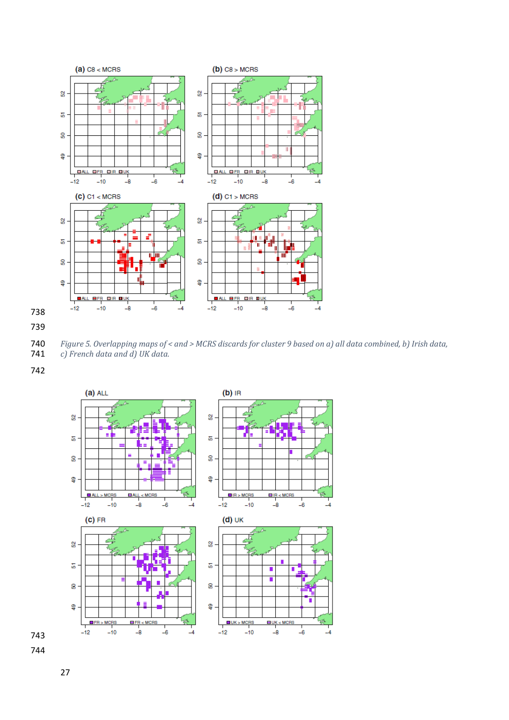

 *Figure 5. Overlapping maps of < and > MCRS discards for cluster 9 based on a) all data combined, b) Irish data, c) French data and d) UK data.* 

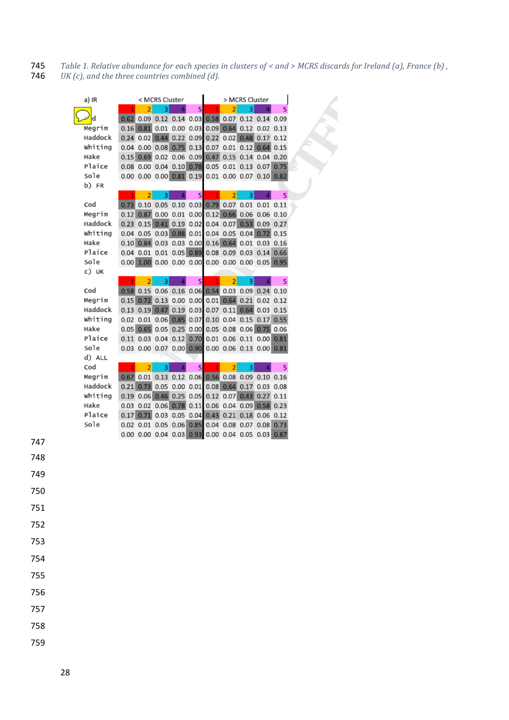*Table 1. Relative abundance for each species in clusters of < and > MCRS discards for Ireland (a), France (b) ,*  UK (c), and the three countries combined (d).

| a) IR   | < MCRS Cluster                                    |                           | > MCRS Cluster       |         |    |
|---------|---------------------------------------------------|---------------------------|----------------------|---------|----|
|         | 2                                                 | 31<br>5                   | 2                    | 31      | 5. |
| d       | 0.62 0.09 0.12 0.14 0.03 0.58 0.07 0.12 0.14 0.09 |                           |                      |         |    |
| Megrim  | 0.16 0.81 0.01 0.00 0.03 0.09 0.64 0.12 0.02 0.13 |                           |                      |         |    |
| Haddock | 0.24 0.02 0.44 0.22 0.09 0.22 0.02 0.48 0.17 0.12 |                           |                      |         |    |
| Whiting | 0.04 0.00 0.08 0.75 0.13 0.07 0.01 0.12 0.64 0.15 |                           |                      |         |    |
| Hake    | 0.15 0.69 0.02 0.06 0.09 0.47 0.15 0.14 0.04 0.20 |                           |                      |         |    |
| Plaice  | 0.08 0.00 0.04 0.10 0.78 0.05 0.01 0.13 0.07 0.75 |                           |                      |         |    |
| Sole    | 0.00 0.00 0.00 0.81 0.19 0.01 0.00 0.07 0.10 0.82 |                           |                      |         |    |
| b) FR   |                                                   |                           |                      |         |    |
|         | $\overline{2}$<br>11                              | 5 <sup>1</sup><br>31<br>4 | 2                    | 3<br>4  | 5  |
| Cod     | 0.73 0.10 0.05 0.10 0.03 0.79 0.07 0.01 0.01 0.11 |                           |                      |         |    |
| Megrim  | 0.12 0.87 0.00 0.01 0.00 0.12 0.66 0.06 0.06 0.10 |                           |                      |         |    |
| Haddock |                                                   |                           |                      |         |    |
| Whiting | 0.23 0.15 0.41 0.19 0.02 0.04 0.07 0.53 0.09 0.27 |                           |                      |         |    |
|         | 0.04 0.05 0.03 0.88 0.01 0.04 0.05 0.04 0.72 0.15 |                           |                      |         |    |
| Hake    | 0.10 0.84 0.03 0.03 0.00 0.16 0.64 0.01 0.03 0.16 |                           |                      |         |    |
| Plaice  | 0.04 0.01 0.01 0.05 0.89 0.08 0.09 0.03 0.14 0.66 |                           |                      |         |    |
| Sole    |                                                   |                           |                      |         |    |
| c) UK   |                                                   |                           |                      |         |    |
|         | $\overline{2}$<br>11                              | 3<br>$\overline{4}$<br>5  | $\overline{2}$<br>11 | 31<br>4 | 5  |
| Cod     | 0.58 0.15 0.06 0.16 0.06 0.54 0.03 0.09 0.24 0.10 |                           |                      |         |    |
| Megrim  | 0.15 0.72 0.13 0.00 0.00 0.01 0.64 0.21 0.02 0.12 |                           |                      |         |    |
| Haddock | 0.13 0.19 0.47 0.19 0.03 0.07 0.11 0.64 0.03 0.15 |                           |                      |         |    |
| Whiting | 0.02 0.01 0.06 0.85 0.07 0.10 0.04 0.15 0.17 0.55 |                           |                      |         |    |
| Hake    | 0.05 0.65 0.05 0.25 0.00 0.05 0.08 0.06 0.75 0.06 |                           |                      |         |    |
| Plaice  | 0.11 0.03 0.04 0.12 0.70 0.01 0.06 0.11 0.00 0.81 |                           |                      |         |    |
| Sole    | 0.03 0.00 0.07 0.00 0.90 0.00 0.06 0.13 0.00 0.81 |                           |                      |         |    |
| d) ALL  |                                                   |                           |                      |         |    |
| Cod     | $\overline{2}$                                    | 5<br>3                    | $\overline{2}$       | 3       | 5  |
| Megrim  | 0.67 0.01 0.13 0.12 0.06 0.56 0.08 0.09 0.10 0.16 |                           |                      |         |    |
| Haddock | 0.21 0.73 0.05 0.00 0.01 0.08 0.64 0.17 0.03 0.08 |                           |                      |         |    |
| Whiting | 0.19 0.06 0.46 0.25 0.05 0.12 0.07 0.43 0.27 0.11 |                           |                      |         |    |
| Hake    | 0.03 0.02 0.06 0.78 0.11 0.06 0.04 0.09 0.58 0.23 |                           |                      |         |    |
| Plaice  | 0.17 0.71 0.03 0.05 0.04 0.43 0.21 0.18 0.06 0.12 |                           |                      |         |    |
| Sole    | 0.02 0.01 0.05 0.06 0.85 0.04 0.08 0.07 0.08 0.73 |                           |                      |         |    |
|         | 0.00 0.00 0.04 0.03 0.93 0.00 0.04 0.05 0.03 0.87 |                           |                      |         |    |
|         |                                                   |                           |                      |         |    |
|         |                                                   |                           |                      |         |    |
|         |                                                   |                           |                      |         |    |
|         |                                                   |                           |                      |         |    |
|         |                                                   |                           |                      |         |    |
|         |                                                   |                           |                      |         |    |
|         |                                                   |                           |                      |         |    |
|         |                                                   |                           |                      |         |    |
|         |                                                   |                           |                      |         |    |
|         |                                                   |                           |                      |         |    |
|         |                                                   |                           |                      |         |    |
|         |                                                   |                           |                      |         |    |
|         |                                                   |                           |                      |         |    |
|         |                                                   |                           |                      |         |    |
|         |                                                   |                           |                      |         |    |
|         |                                                   |                           |                      |         |    |
|         |                                                   |                           |                      |         |    |
|         |                                                   |                           |                      |         |    |
|         |                                                   |                           |                      |         |    |
|         |                                                   |                           |                      |         |    |
|         |                                                   |                           |                      |         |    |
|         |                                                   |                           |                      |         |    |
|         |                                                   |                           |                      |         |    |
|         |                                                   |                           |                      |         |    |





- 
- 
- 
- 
- 
- 
- 
- 
-